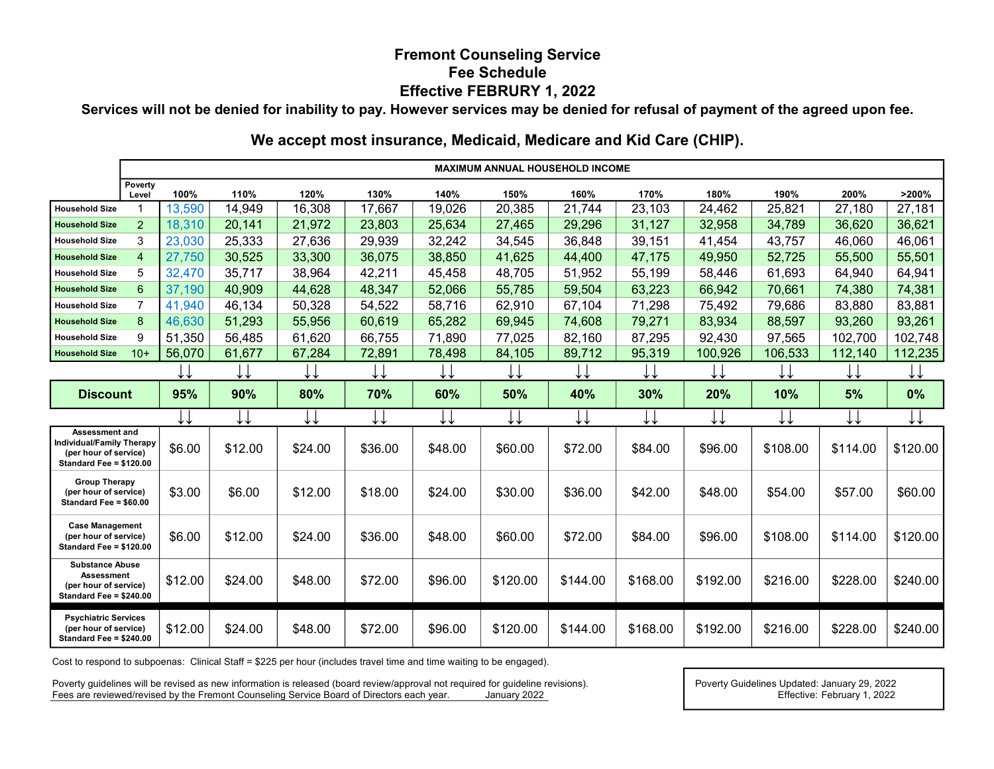## Fremont Counseling Service Fee Schedule Effective FEBRURY 1, 2022

Services will not be denied for inability to pay. However services may be denied for refusal of payment of the agreed upon fee.

## We accept most insurance, Medicaid, Medicare and Kid Care (CHIP).

|                                                                                                 | <b>MAXIMUM ANNUAL HOUSEHOLD INCOME</b> |         |         |         |         |         |          |          |          |          |          |          |          |
|-------------------------------------------------------------------------------------------------|----------------------------------------|---------|---------|---------|---------|---------|----------|----------|----------|----------|----------|----------|----------|
|                                                                                                 | Poverty<br>Level                       | 100%    | 110%    | 120%    | 130%    | 140%    | 150%     | 160%     | 170%     | 180%     | 190%     | 200%     | >200%    |
| <b>Household Size</b>                                                                           | -1                                     | 13,590  | 14,949  | 16,308  | 17,667  | 19,026  | 20,385   | 21,744   | 23,103   | 24,462   | 25,821   | 27,180   | 27,181   |
| <b>Household Size</b>                                                                           | 2                                      | 18,310  | 20,141  | 21,972  | 23,803  | 25,634  | 27,465   | 29,296   | 31,127   | 32,958   | 34,789   | 36,620   | 36,621   |
| <b>Household Size</b>                                                                           | 3                                      | 23,030  | 25,333  | 27,636  | 29,939  | 32,242  | 34,545   | 36,848   | 39,151   | 41,454   | 43,757   | 46,060   | 46,061   |
| <b>Household Size</b>                                                                           | $\overline{4}$                         | 27,750  | 30,525  | 33,300  | 36,075  | 38,850  | 41,625   | 44,400   | 47,175   | 49,950   | 52,725   | 55,500   | 55,501   |
| <b>Household Size</b>                                                                           | 5                                      | 32,470  | 35,717  | 38,964  | 42,211  | 45,458  | 48,705   | 51,952   | 55,199   | 58,446   | 61,693   | 64,940   | 64,941   |
| <b>Household Size</b>                                                                           | 6                                      | 37,190  | 40,909  | 44,628  | 48,347  | 52,066  | 55,785   | 59,504   | 63,223   | 66,942   | 70,661   | 74,380   | 74,381   |
| <b>Household Size</b>                                                                           | $\overline{7}$                         | 41,940  | 46,134  | 50,328  | 54,522  | 58,716  | 62,910   | 67,104   | 71,298   | 75,492   | 79,686   | 83,880   | 83,881   |
| <b>Household Size</b>                                                                           | 8                                      | 46,630  | 51,293  | 55,956  | 60,619  | 65,282  | 69,945   | 74,608   | 79,271   | 83,934   | 88,597   | 93,260   | 93,261   |
| <b>Household Size</b>                                                                           | 9                                      | 51,350  | 56,485  | 61,620  | 66,755  | 71,890  | 77,025   | 82,160   | 87,295   | 92,430   | 97,565   | 102,700  | 102,748  |
| <b>Household Size</b>                                                                           | $10+$                                  | 56,070  | 61,677  | 67,284  | 72,891  | 78,498  | 84,105   | 89,712   | 95,319   | 100,926  | 106,533  | 112,140  | 112,235  |
|                                                                                                 |                                        |         |         |         |         |         |          |          |          |          |          |          |          |
| <b>Discount</b>                                                                                 |                                        | 95%     | 90%     | 80%     | 70%     | 60%     | 50%      | 40%      | 30%      | 20%      | 10%      | 5%       | 0%       |
|                                                                                                 |                                        |         |         |         |         |         |          |          |          |          |          |          |          |
|                                                                                                 |                                        |         | ↓↓      |         |         |         |          | ↓↓       |          | ∗∗       |          |          | ↓↓       |
| Assessment and<br>Individual/Family Therapy<br>(per hour of service)<br>Standard Fee = \$120.00 |                                        | \$6.00  | \$12.00 | \$24.00 | \$36.00 | \$48.00 | \$60.00  | \$72.00  | \$84.00  | \$96.00  | \$108.00 | \$114.00 | \$120.00 |
| <b>Group Therapy</b><br>(per hour of service)<br>Standard Fee = \$60.00                         |                                        | \$3.00  | \$6.00  | \$12.00 | \$18.00 | \$24.00 | \$30.00  | \$36.00  | \$42.00  | \$48.00  | \$54.00  | \$57.00  | \$60.00  |
| <b>Case Management</b><br>(per hour of service)<br>Standard Fee = \$120.00                      |                                        | \$6.00  | \$12.00 | \$24.00 | \$36.00 | \$48.00 | \$60.00  | \$72.00  | \$84.00  | \$96.00  | \$108.00 | \$114.00 | \$120.00 |
| <b>Substance Abuse</b><br><b>Assessment</b><br>(per hour of service)<br>Standard Fee = \$240.00 |                                        | \$12.00 | \$24.00 | \$48.00 | \$72.00 | \$96.00 | \$120.00 | \$144.00 | \$168.00 | \$192.00 | \$216.00 | \$228.00 | \$240.00 |

Cost to respond to subpoenas: Clinical Staff = \$225 per hour (includes travel time and time waiting to be engaged).

January 2022 Poverty guidelines will be revised as new information is released (board review/approval not required for guideline revisions). Fees are reviewed/revised by the Fremont Counseling Service Board of Directors each year.

Effective: February 1, 2022 Poverty Guidelines Updated: January 29, 2022